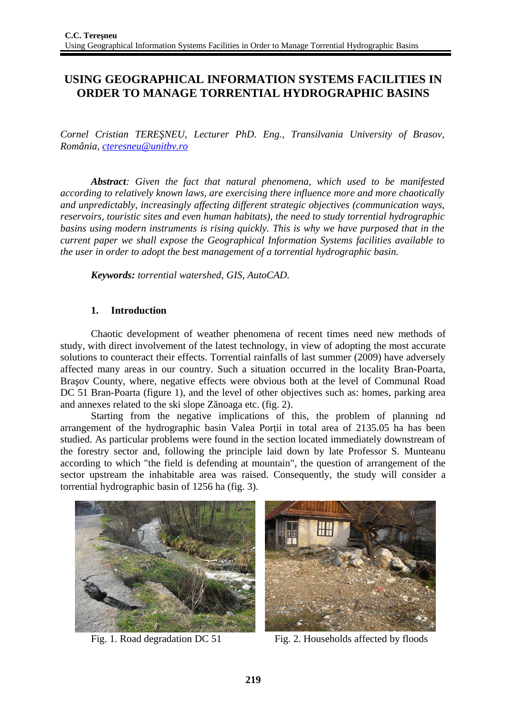# **USING GEOGRAPHICAL INFORMATION SYSTEMS FACILITIES IN ORDER TO MANAGE TORRENTIAL HYDROGRAPHIC BASINS**

*Cornel Cristian TEREŞNEU, Lecturer PhD. Eng., Transilvania University of Brasov, România, [cteresneu@unitbv.ro](mailto:cteresneu@unitbv.ro)*

*Abstract: Given the fact that natural phenomena, which used to be manifested according to relatively known laws, are exercising there influence more and more chaotically and unpredictably, increasingly affecting different strategic objectives (communication ways, reservoirs, touristic sites and even human habitats), the need to study torrential hydrographic basins using modern instruments is rising quickly. This is why we have purposed that in the current paper we shall expose the Geographical Information Systems facilities available to the user in order to adopt the best management of a torrential hydrographic basin.*

*Keywords: torrential watershed, GIS, AutoCAD.*

### **1. Introduction**

Chaotic development of weather phenomena of recent times need new methods of study, with direct involvement of the latest technology, in view of adopting the most accurate solutions to counteract their effects. Torrential rainfalls of last summer (2009) have adversely affected many areas in our country. Such a situation occurred in the locality Bran-Poarta, Braşov County, where, negative effects were obvious both at the level of Communal Road DC 51 Bran-Poarta (figure 1), and the level of other objectives such as: homes, parking area and annexes related to the ski slope Zănoaga etc. (fig. 2).

Starting from the negative implications of this, the problem of planning nd arrangement of the hydrographic basin Valea Porții in total area of 2135.05 ha has been studied. As particular problems were found in the section located immediately downstream of the forestry sector and, following the principle laid down by late Professor S. Munteanu according to which "the field is defending at mountain", the question of arrangement of the sector upstream the inhabitable area was raised. Consequently, the study will consider a torrential hydrographic basin of 1256 ha (fig. 3).





Fig. 1. Road degradation DC 51 Fig. 2. Households affected by floods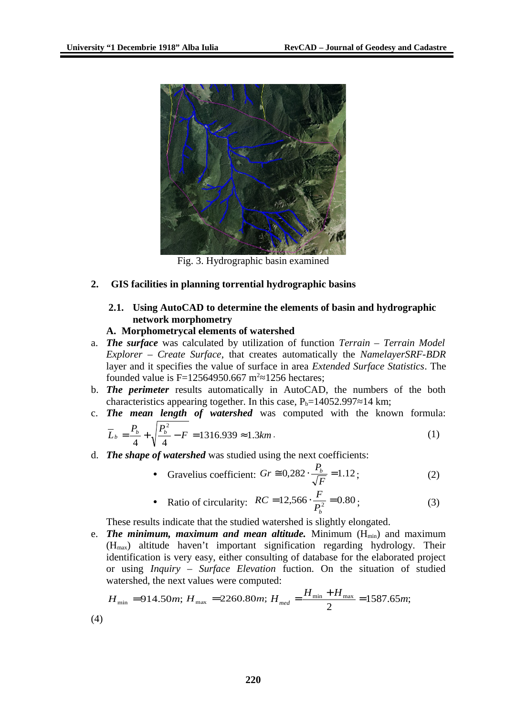

Fig. 3. Hydrographic basin examined

# **2. GIS facilities in planning torrential hydrographic basins**

### **2.1. Using AutoCAD to determine the elements of basin and hydrographic network morphometry**

### **A. Morphometrycal elements of watershed**

- a. *The surface* was calculated by utilization of function *Terrain Terrain Model Explorer* – *Create Surface*, that creates automatically the *NamelayerSRF-BDR* layer and it specifies the value of surface in area *Extended Surface Statistics*. The founded value is F=12564950.667 m<sup>2</sup>≈1256 hectares;
- b. *The perimeter* results automatically in AutoCAD, the numbers of the both characteristics appearing together. In this case,  $P_b=14052.997\approx 14$  km;
- c. *The mean length of watershed* was computed with the known formula: 2

$$
\overline{L}_b = \frac{P_b}{4} + \sqrt{\frac{P_b^2}{4} - F} = 1316.939 \approx 1.3 \text{km} \,. \tag{1}
$$

d. *The shape of watershed* was studied using the next coefficients:

• Gravelius coefficient: 
$$
Gr \cong 0,282 \cdot \frac{P_b}{\sqrt{F}} = 1.12
$$
 ; (2)

• Ratio of circularity: 
$$
RC = 12,566 \cdot \frac{F}{P_b^2} = 0.80
$$
 ; (3)

These results indicate that the studied watershed is slightly elongated.

e. **The minimum, maximum and mean altitude.** Minimum  $(H_{min})$  and maximum  $(H<sub>max</sub>)$  altitude haven't important signification regarding hydrology. Their identification is very easy, either consulting of database for the elaborated project or using *Inquiry – Surface Elevation* fuction. On the situation of studied watershed, the next values were computed:

$$
H_{\min} = 914.50m; H_{\max} = 2260.80m; H_{\text{med}} = \frac{H_{\min} + H_{\max}}{2} = 1587.65m;
$$

(4)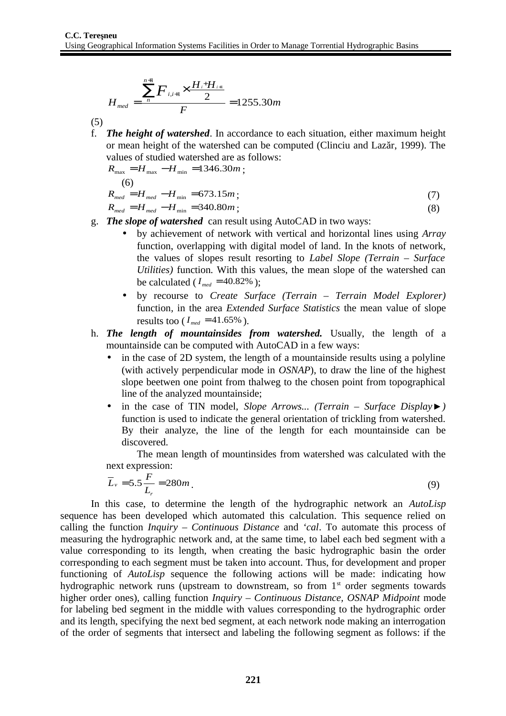$$
H_{med} = \frac{\sum_{n=1}^{n+1} F_{i,i+1} \times \frac{H_i + H_{i+1}}{2}}{F} = 1255.30m
$$

(5)

f. *The height of watershed*. In accordance to each situation, either maximum height or mean height of the watershed can be computed (Clinciu and Lazăr, 1999). The values of studied watershed are as follows:

$$
R_{\text{max}} = H_{\text{max}} - H_{\text{min}} = 1346.30m ;
$$
  
(6)  

$$
R_{\text{med}} = H_{\text{med}} - H_{\text{min}} = 673.15m ;
$$
 (7)

 $R_{med} = H_{med} - H_{min} = 340.80m$ ; (8)

- g. *The slope of watershed* can result using AutoCAD in two ways:
	- by achievement of network with vertical and horizontal lines using *Array* function, overlapping with digital model of land. In the knots of network, the values of slopes result resorting to *Label Slope (Terrain – Surface Utilities)* function*.* With this values, the mean slope of the watershed can be calculated ( $I_{med} = 40.82\%$ );
	- by recourse to *Create Surface (Terrain Terrain Model Explorer)* function*,* in the area *Extended Surface Statistics* the mean value of slope results too ( $I_{med} = 41.65\%$ ).
- h. *The length of mountainsides from watershed.* Usually, the length of a mountainside can be computed with AutoCAD in a few ways:
	- in the case of 2D system, the length of a mountainside results using a polyline (with actively perpendicular mode in *OSNAP*), to draw the line of the highest slope beetwen one point from thalweg to the chosen point from topographical line of the analyzed mountainside;
	- in the case of TIN model, *Slope Arrows... (Terrain Surface Display►)* function is used to indicate the general orientation of trickling from watershed. By their analyze, the line of the length for each mountainside can be discovered.

The mean length of mountinsides from watershed was calculated with the next expression:

$$
\overline{L}_v = 5.5 \frac{F}{L_r} = 280 m \tag{9}
$$

In this case, to determine the length of the hydrographic network an *AutoLisp* sequence has been developed which automated this calculation. This sequence relied on calling the function *Inquiry – Continuous Distance* and *'cal*. To automate this process of measuring the hydrographic network and, at the same time, to label each bed segment with a value corresponding to its length, when creating the basic hydrographic basin the order corresponding to each segment must be taken into account. Thus, for development and proper functioning of *AutoLisp* sequence the following actions will be made: indicating how hydrographic network runs (upstream to downstream, so from  $1<sup>st</sup>$  order segments towards higher order ones), calling function *Inquiry – Continuous Distance, OSNAP Midpoint* mode for labeling bed segment in the middle with values corresponding to the hydrographic order and its length, specifying the next bed segment, at each network node making an interrogation of the order of segments that intersect and labeling the following segment as follows: if the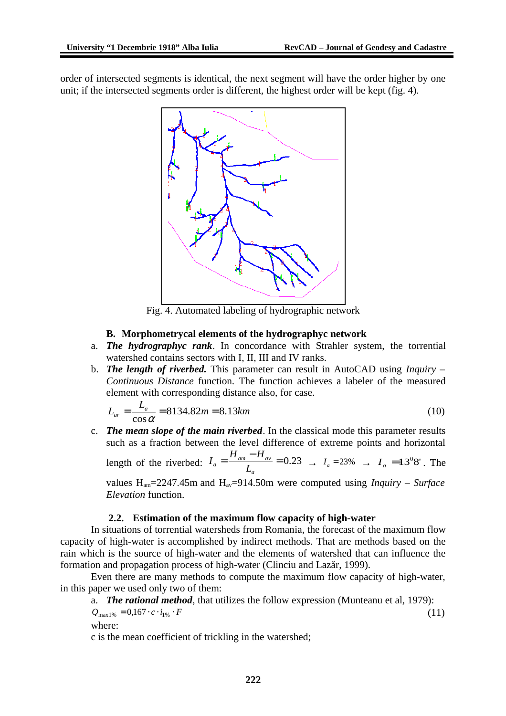order of intersected segments is identical, the next segment will have the order higher by one unit; if the intersected segments order is different, the highest order will be kept (fig. 4).



Fig. 4. Automated labeling of hydrographic network

### **B. Morphometrycal elements of the hydrographyc network**

- a. *The hydrographyc rank*. In concordance with Strahler system, the torrential watershed contains sectors with I, II, III and IV ranks.
- b. *The length of riverbed.* This parameter can result in AutoCAD using *Inquiry – Continuous Distance* function*.* The function achieves a labeler of the measured element with corresponding distance also, for case.

$$
L_{ar} = \frac{L_a}{\cos \alpha} = 8134.82m = 8.13km
$$
\n(10)

c. *The mean slope of the main riverbed*. In the classical mode this parameter results such as a fraction between the level difference of extreme points and horizontal length of the riverbed:  $I_a = \frac{H_{am} - H_{av}}{I} = 0.23$  $a = \frac{H_{am} - H_{av}}{L_a}$  $I_a = \frac{H_{am} - H_{av}}{I} = 0.23$   $\rightarrow$   $I_a = 23\%$   $\rightarrow$   $I_a = 13^08'$ . The

*a* values  $H_{am}$ =2247.45m and  $H_{av}$ =914.50m were computed using *Inquiry – Surface Elevation* function.

#### **2.2. Estimation of the maximum flow capacity of high-water**

In situations of torrential watersheds from Romania, the forecast of the maximum flow capacity of high-water is accomplished by indirect methods. That are methods based on the rain which is the source of high-water and the elements of watershed that can influence the formation and propagation process of high-water (Clinciu and Lazăr, 1999).

Even there are many methods to compute the maximum flow capacity of high-water, in this paper we used only two of them:

a. *The rational method*, that utilizes the follow expression (Munteanu et al, 1979):

$$
Q_{\text{max1\%}} = 0.167 \cdot c \cdot i_{1\%} \cdot F \tag{11}
$$
\nwhere:

c is the mean coefficient of trickling in the watershed;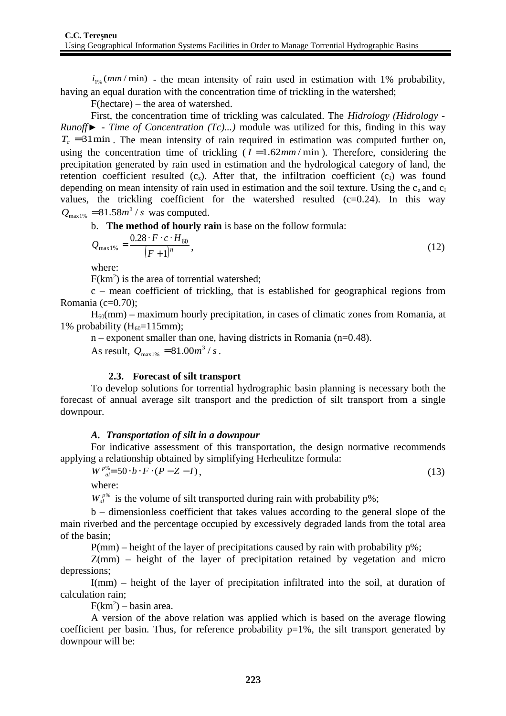$i_{1\%}(mm/min)$  - the mean intensity of rain used in estimation with 1% probability, having an equal duration with the concentration time of trickling in the watershed;

F(hectare) – the area of watershed.

First, the concentration time of trickling was calculated. The *Hidrology (Hidrology - Runoff► - Time of Concentration (Tc)...)* module was utilized for this, finding in this way  $T_c$  =31min. The mean intensity of rain required in estimation was computed further on, using the concentration time of trickling  $(I = 1.62$ *mm*/min). Therefore, considering the precipitation generated by rain used in estimation and the hydrological category of land, the retention coefficient resulted  $(c_2)$ . After that, the infiltration coefficient  $(c_1)$  was found depending on mean intensity of rain used in estimation and the soil texture. Using the  $c<sub>z</sub>$  and  $c<sub>I</sub>$ values, the trickling coefficient for the watershed resulted  $(c=0.24)$ . In this way  $Q_{\text{max1\%}} = 81.58m^3 / s$  was computed.

b. **The method of hourly rain** is base on the follow formula:

$$
Q_{\text{max1\%}} = \frac{0.28 \cdot F \cdot c \cdot H_{60}}{(F+1)^n},\tag{12}
$$

where:

 $F(km<sup>2</sup>)$  is the area of torrential watershed;

c – mean coefficient of trickling, that is established for geographical regions from Romania (c=0.70);

 $H<sub>60</sub>(mm)$  – maximum hourly precipitation, in cases of climatic zones from Romania, at 1% probability  $(H_{60}=115$ mm);

 $n$  – exponent smaller than one, having districts in Romania ( $n=0.48$ ).

As result,  $Q_{\text{max1\%}} = 81.00 m^3 / s$ .

#### **2.3. Forecast of silt transport**

To develop solutions for torrential hydrographic basin planning is necessary both the forecast of annual average silt transport and the prediction of silt transport from a single downpour.

#### *A. Transportation of silt in a downpour*

For indicative assessment of this transportation, the design normative recommends applying a relationship obtained by simplifying Herheulitze formula:

$$
W^{\,p_{\delta q}} = 50 \cdot b \cdot F \cdot (P - Z - I),\tag{13}
$$

where:

 $W_{a}^{p\%}$  is the volume of silt transported during rain with probability p%;

b – dimensionless coefficient that takes values according to the general slope of the main riverbed and the percentage occupied by excessively degraded lands from the total area of the basin;

 $P(mm)$  – height of the layer of precipitations caused by rain with probability  $p\%$ ;

Z(mm) – height of the layer of precipitation retained by vegetation and micro depressions;

I(mm) – height of the layer of precipitation infiltrated into the soil, at duration of calculation rain;

 $F(km^2)$  – basin area.

A version of the above relation was applied which is based on the average flowing coefficient per basin. Thus, for reference probability  $p=1\%$ , the silt transport generated by downpour will be: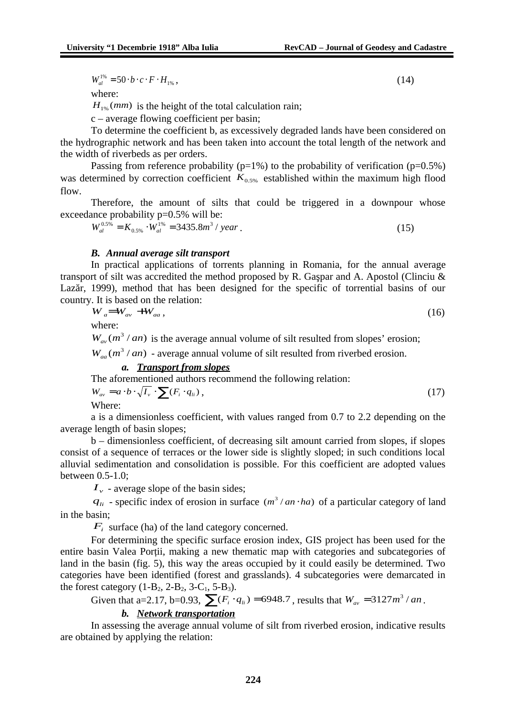$W_{al}^{1\%} = 50 \cdot b \cdot c \cdot F \cdot H_{1\%},$  (14)

where:

 $H_{1\%}(mm)$  is the height of the total calculation rain;

c – average flowing coefficient per basin;

To determine the coefficient b, as excessively degraded lands have been considered on the hydrographic network and has been taken into account the total length of the network and the width of riverbeds as per orders.

Passing from reference probability ( $p=1\%$ ) to the probability of verification ( $p=0.5\%$ ) was determined by correction coefficient  $K_{0.5\%}$  established within the maximum high flood flow.

Therefore, the amount of silts that could be triggered in a downpour whose exceedance probability p=0.5% will be:

 $W_{al}^{0.5\%} = K_{0.5\%} \cdot W_{al}^{1\%} = 3435.8 m^3 / year$ . (15)

#### *B. Annual average silt transport*

In practical applications of torrents planning in Romania, for the annual average transport of silt was accredited the method proposed by R. Gaşpar and A. Apostol (Clinciu & Lazăr, 1999), method that has been designed for the specific of torrential basins of our country. It is based on the relation:

$$
W_a = W_{av} + W_{aa}, \tag{16}
$$

where:

 $W_{av}(m^3 / an)$  is the average annual volume of silt resulted from slopes' erosion;

 $W_{aa}$   $(m^3 / an)$  - average annual volume of silt resulted from riverbed erosion.

#### *a. Transport from slopes*

The aforementioned authors recommend the following relation:

$$
W_{av} = a \cdot b \cdot \sqrt{I_v} \cdot \sum (F_i \cdot q_{li}), \qquad (17)
$$

Where:

a is a dimensionless coefficient, with values ranged from 0.7 to 2.2 depending on the average length of basin slopes;

b – dimensionless coefficient, of decreasing silt amount carried from slopes, if slopes consist of a sequence of terraces or the lower side is slightly sloped; in such conditions local alluvial sedimentation and consolidation is possible. For this coefficient are adopted values between 0.5-1.0;

*v I* - average slope of the basin sides;

 $q_{li}$  - specific index of erosion in surface ( $m^3 / an \cdot ha$ ) of a particular category of land in the basin;

*Fi* surface (ha) of the land category concerned.

For determining the specific surface erosion index, GIS project has been used for the entire basin Valea Porții, making a new thematic map with categories and subcategories of land in the basin (fig. 5), this way the areas occupied by it could easily be determined. Two categories have been identified (forest and grasslands). 4 subcategories were demarcated in the forest category  $(1-B_2, 2-B_2, 3-C_1, 5-B_3)$ .

Given that a=2.17, b=0.93,  $\sum (F_i \cdot q_i) = 6948.7$ , results that  $W_{av} = 3127 m^3 / an$ .

### *b. Network transportation*

In assessing the average annual volume of silt from riverbed erosion, indicative results are obtained by applying the relation: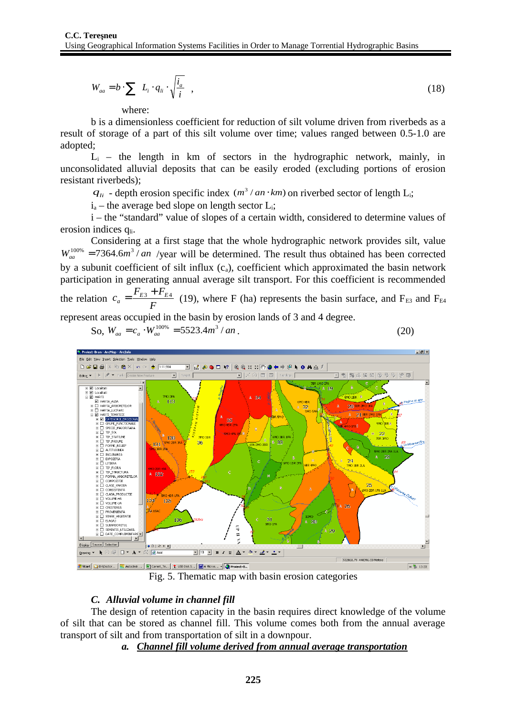$$
W_{aa} = b \cdot \sum \left( L_i \cdot q_{li} \cdot \sqrt{\frac{i_a}{i}} \right),\tag{18}
$$

where:

b is a dimensionless coefficient for reduction of silt volume driven from riverbeds as a result of storage of a part of this silt volume over time; values ranged between 0.5-1.0 are adopted;

 $L<sub>i</sub>$  – the length in km of sectors in the hydrographic network, mainly, in unconsolidated alluvial deposits that can be easily eroded (excluding portions of erosion resistant riverbeds);

 $q_{li}$  - depth erosion specific index ( $m^3 / an \cdot km$ ) on riverbed sector of length L<sub>i</sub>;

 $i_a$  – the average bed slope on length sector  $L_i$ ;

i – the "standard" value of slopes of a certain width, considered to determine values of erosion indices q<sub>li</sub>.

Considering at a first stage that the whole hydrographic network provides silt, value  $W_{aa}^{100\%}$  = 7364.6*m*<sup>3</sup> / *an* /year will be determined. The result thus obtained has been corrected by a subunit coefficient of silt influx  $(c_a)$ , coefficient which approximated the basin network participation in generating annual average silt transport. For this coefficient is recommended the relation *F*  $c_a = \frac{F_{E3} + F_{E4}}{F}$  (19), where F (ha) represents the basin surface, and F<sub>E3</sub> and F<sub>E4</sub>

represent areas occupied in the basin by erosion lands of 3 and 4 degree.

 $\text{So, } W_{aa} = c_a \cdot W_{aa}^{100\%} = 5523.4m^3 / an$ . (20)



Fig. 5. Thematic map with basin erosion categories

# *C. Alluvial volume in channel fill*

The design of retention capacity in the basin requires direct knowledge of the volume of silt that can be stored as channel fill. This volume comes both from the annual average transport of silt and from transportation of silt in a downpour.

# *a. Channel fill volume derived from annual average transportation*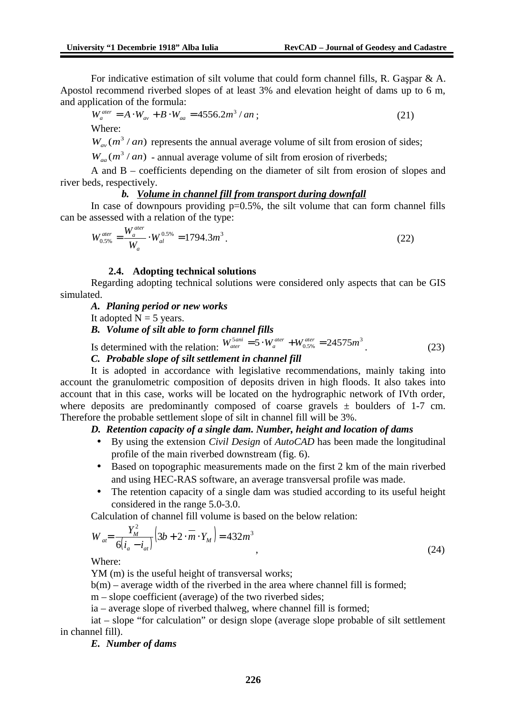For indicative estimation of silt volume that could form channel fills, R. Gaşpar & A. Apostol recommend riverbed slopes of at least 3% and elevation height of dams up to 6 m, and application of the formula:

$$
W_a^{\text{ater}} = A \cdot W_{av} + B \cdot W_{aa} = 4556.2m^3 / an \tag{21}
$$

Where:

 $W_{av}(m^3 / an)$  represents the annual average volume of silt from erosion of sides;

 $W_{aa}$   $(m^3 / an)$  - annual average volume of silt from erosion of riverbeds;

A and B – coefficients depending on the diameter of silt from erosion of slopes and river beds, respectively.

#### *b. Volume in channel fill from transport during downfall*

In case of downpours providing  $p=0.5%$ , the silt volume that can form channel fills can be assessed with a relation of the type:

$$
W_{0.5\%}^{ater} = \frac{W_a^{ater}}{W_a} \cdot W_{al}^{0.5\%} = 1794.3m^3.
$$
 (22)

#### **2.4. Adopting technical solutions**

Regarding adopting technical solutions were considered only aspects that can be GIS simulated.

#### *A. Planing period or new works*

It adopted  $N = 5$  years.

*B. Volume of silt able to form channel fills*

Is determined with the relation:  $W_{ater}^{5ani} = 5 \cdot W_{a}^{ater} + W_{0.5\%}^{ater} = 24575 m^3$ . (23)

#### *C. Probable slope of silt settlement in channel fill*

It is adopted in accordance with legislative recommendations, mainly taking into account the granulometric composition of deposits driven in high floods. It also takes into account that in this case, works will be located on the hydrographic network of IVth order, where deposits are predominantly composed of coarse gravels  $\pm$  boulders of 1-7 cm. Therefore the probable settlement slope of silt in channel fill will be 3%.

# *D. Retention capacity of a single dam. Number, height and location of dams*

- By using the extension *Civil Design* of *AutoCAD* has been made the longitudinal profile of the main riverbed downstream (fig. 6).
- Based on topographic measurements made on the first 2 km of the main riverbed and using HEC-RAS software, an average transversal profile was made.
- The retention capacity of a single dam was studied according to its useful height considered in the range 5.0-3.0.

Calculation of channel fill volume is based on the below relation:

$$
W_{at} = \frac{Y_M^2}{6(i_a - i_{at})} \left(3b + 2 \cdot \overline{m} \cdot Y_M\right) = 432m^3
$$
\n(24)

Where:

YM (m) is the useful height of transversal works;

 $b(m)$  – average width of the riverbed in the area where channel fill is formed;

m – slope coefficient (average) of the two riverbed sides;

ia – average slope of riverbed thalweg, where channel fill is formed;

iat – slope "for calculation" or design slope (average slope probable of silt settlement in channel fill).

*E. Number of dams*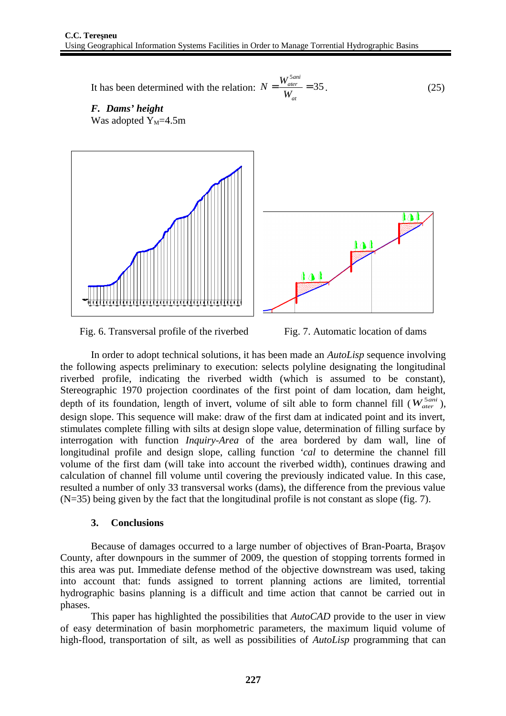It has been determined with the relation:  $N = \frac{W_{\text{ater}}}{M} = 35$ 5  $=\frac{V \cdot \text{ater}}{V \cdot L}$ *at ani ater W*  $N = \frac{W_{\text{ater}}^{\text{5ani}}}{M} = 35$ . (25)

*F. Dams' height* Was adopted  $Y_M$ =4.5m







In order to adopt technical solutions, it has been made an *AutoLisp* sequence involving the following aspects preliminary to execution: selects polyline designating the longitudinal riverbed profile, indicating the riverbed width (which is assumed to be constant), Stereographic 1970 projection coordinates of the first point of dam location, dam height, depth of its foundation, length of invert, volume of silt able to form channel fill  $(W_{ater}^{5ani})$ , design slope. This sequence will make: draw of the first dam at indicated point and its invert, stimulates complete filling with silts at design slope value, determination of filling surface by interrogation with function *Inquiry-Area* of the area bordered by dam wall, line of longitudinal profile and design slope, calling function *'cal* to determine the channel fill volume of the first dam (will take into account the riverbed width), continues drawing and calculation of channel fill volume until covering the previously indicated value. In this case, resulted a number of only 33 transversal works (dams), the difference from the previous value (N=35) being given by the fact that the longitudinal profile is not constant as slope (fig. 7).

#### **3. Conclusions**

Because of damages occurred to a large number of objectives of Bran-Poarta, Braşov County, after downpours in the summer of 2009, the question of stopping torrents formed in this area was put. Immediate defense method of the objective downstream was used, taking into account that: funds assigned to torrent planning actions are limited, torrential hydrographic basins planning is a difficult and time action that cannot be carried out in phases.

This paper has highlighted the possibilities that *AutoCAD* provide to the user in view of easy determination of basin morphometric parameters, the maximum liquid volume of high-flood, transportation of silt, as well as possibilities of *AutoLisp* programming that can